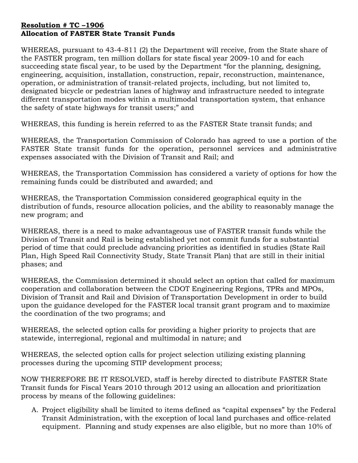## Resolution # TC –1906 Allocation of FASTER State Transit Funds

WHEREAS, pursuant to 43-4-811 (2) the Department will receive, from the State share of the FASTER program, ten million dollars for state fiscal year 2009-10 and for each succeeding state fiscal year, to be used by the Department "for the planning, designing, engineering, acquisition, installation, construction, repair, reconstruction, maintenance, operation, or administration of transit-related projects, including, but not limited to, designated bicycle or pedestrian lanes of highway and infrastructure needed to integrate different transportation modes within a multimodal transportation system, that enhance the safety of state highways for transit users;" and

WHEREAS, this funding is herein referred to as the FASTER State transit funds; and

WHEREAS, the Transportation Commission of Colorado has agreed to use a portion of the FASTER State transit funds for the operation, personnel services and administrative expenses associated with the Division of Transit and Rail; and

WHEREAS, the Transportation Commission has considered a variety of options for how the remaining funds could be distributed and awarded; and

WHEREAS, the Transportation Commission considered geographical equity in the distribution of funds, resource allocation policies, and the ability to reasonably manage the new program; and

WHEREAS, there is a need to make advantageous use of FASTER transit funds while the Division of Transit and Rail is being established yet not commit funds for a substantial period of time that could preclude advancing priorities as identified in studies (State Rail Plan, High Speed Rail Connectivity Study, State Transit Plan) that are still in their initial phases; and

WHEREAS, the Commission determined it should select an option that called for maximum cooperation and collaboration between the CDOT Engineering Regions, TPRs and MPOs, Division of Transit and Rail and Division of Transportation Development in order to build upon the guidance developed for the FASTER local transit grant program and to maximize the coordination of the two programs; and

WHEREAS, the selected option calls for providing a higher priority to projects that are statewide, interregional, regional and multimodal in nature; and

WHEREAS, the selected option calls for project selection utilizing existing planning processes during the upcoming STIP development process;

NOW THEREFORE BE IT RESOLVED, staff is hereby directed to distribute FASTER State Transit funds for Fiscal Years 2010 through 2012 using an allocation and prioritization process by means of the following guidelines:

A. Project eligibility shall be limited to items defined as "capital expenses" by the Federal Transit Administration, with the exception of local land purchases and office-related equipment. Planning and study expenses are also eligible, but no more than 10% of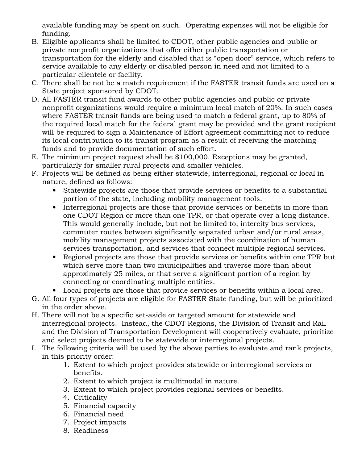available funding may be spent on such. Operating expenses will not be eligible for funding.

- B. Eligible applicants shall be limited to CDOT, other public agencies and public or private nonprofit organizations that offer either public transportation or transportation for the elderly and disabled that is "open door" service, which refers to service available to any elderly or disabled person in need and not limited to a particular clientele or facility.
- C. There shall be not be a match requirement if the FASTER transit funds are used on a State project sponsored by CDOT.
- D. All FASTER transit fund awards to other public agencies and public or private nonprofit organizations would require a minimum local match of 20%. In such cases where FASTER transit funds are being used to match a federal grant, up to 80% of the required local match for the federal grant may be provided and the grant recipient will be required to sign a Maintenance of Effort agreement committing not to reduce its local contribution to its transit program as a result of receiving the matching funds and to provide documentation of such effort.
- E. The minimum project request shall be \$100,000. Exceptions may be granted, particularly for smaller rural projects and smaller vehicles.
- F. Projects will be defined as being either statewide, interregional, regional or local in nature, defined as follows:
	- Statewide projects are those that provide services or benefits to a substantial portion of the state, including mobility management tools.
	- Interregional projects are those that provide services or benefits in more than one CDOT Region or more than one TPR, or that operate over a long distance. This would generally include, but not be limited to, intercity bus services, commuter routes between significantly separated urban and/or rural areas, mobility management projects associated with the coordination of human services transportation, and services that connect multiple regional services.
	- Regional projects are those that provide services or benefits within one TPR but which serve more than two municipalities and traverse more than about approximately 25 miles, or that serve a significant portion of a region by connecting or coordinating multiple entities.
	- Local projects are those that provide services or benefits within a local area.
- G. All four types of projects are eligible for FASTER State funding, but will be prioritized in the order above.
- H. There will not be a specific set-aside or targeted amount for statewide and interregional projects. Instead, the CDOT Regions, the Division of Transit and Rail and the Division of Transportation Development will cooperatively evaluate, prioritize and select projects deemed to be statewide or interregional projects.
- I. The following criteria will be used by the above parties to evaluate and rank projects, in this priority order:
	- 1. Extent to which project provides statewide or interregional services or benefits.
	- 2. Extent to which project is multimodal in nature.
	- 3. Extent to which project provides regional services or benefits.
	- 4. Criticality
	- 5. Financial capacity
	- 6. Financial need
	- 7. Project impacts
	- 8. Readiness